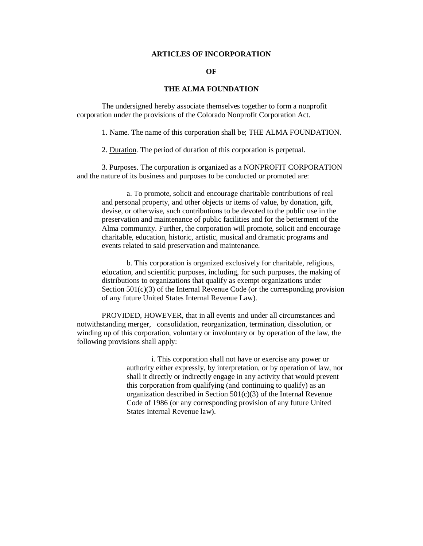## **ARTICLES OF INCORPORATION**

## **OF**

## **THE ALMA FOUNDATION**

 The undersigned hereby associate themselves together to form a nonprofit corporation under the provisions of the Colorado Nonprofit Corporation Act.

1. Name. The name of this corporation shall be; THE ALMA FOUNDATION.

2. Duration. The period of duration of this corporation is perpetual.

 3. Purposes. The corporation is organized as a NONPROFIT CORPORATION and the nature of its business and purposes to be conducted or promoted are:

 a. To promote, solicit and encourage charitable contributions of real and personal property, and other objects or items of value, by donation, gift, devise, or otherwise, such contributions to be devoted to the public use in the preservation and maintenance of public facilities and for the betterment of the Alma community. Further, the corporation will promote, solicit and encourage charitable, education, historic, artistic, musical and dramatic programs and events related to said preservation and maintenance.

 b. This corporation is organized exclusively for charitable, religious, education, and scientific purposes, including, for such purposes, the making of distributions to organizations that qualify as exempt organizations under Section 501(c)(3) of the Internal Revenue Code (or the corresponding provision of any future United States Internal Revenue Law).

 PROVIDED, HOWEVER, that in all events and under all circumstances and notwithstanding merger, consolidation, reorganization, termination, dissolution, or winding up of this corporation, voluntary or involuntary or by operation of the law, the following provisions shall apply:

> i. This corporation shall not have or exercise any power or authority either expressly, by interpretation, or by operation of law, nor shall it directly or indirectly engage in any activity that would prevent this corporation from qualifying (and continuing to qualify) as an organization described in Section 501(c)(3) of the Internal Revenue Code of 1986 (or any corresponding provision of any future United States Internal Revenue law).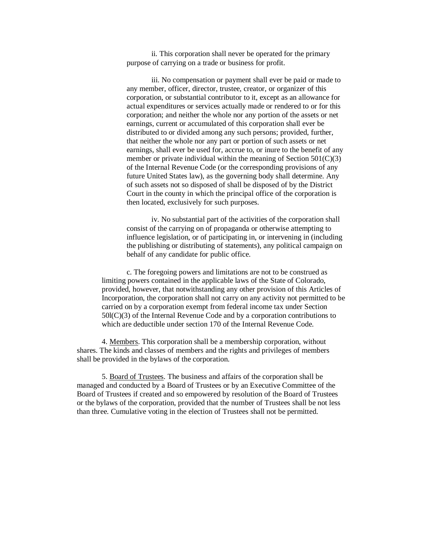ii. This corporation shall never be operated for the primary purpose of carrying on a trade or business for profit.

 iii. No compensation or payment shall ever be paid or made to any member, officer, director, trustee, creator, or organizer of this corporation, or substantial contributor to it, except as an allowance for actual expenditures or services actually made or rendered to or for this corporation; and neither the whole nor any portion of the assets or net earnings, current or accumulated of this corporation shall ever be distributed to or divided among any such persons; provided, further, that neither the whole nor any part or portion of such assets or net earnings, shall ever be used for, accrue to, or inure to the benefit of any member or private individual within the meaning of Section  $501(C)(3)$ of the Internal Revenue Code (or the corresponding provisions of any future United States law), as the governing body shall determine. Any of such assets not so disposed of shall be disposed of by the District Court in the county in which the principal office of the corporation is then located, exclusively for such purposes.

 iv. No substantial part of the activities of the corporation shall consist of the carrying on of propaganda or otherwise attempting to influence legislation, or of participating in, or intervening in (including the publishing or distributing of statements), any political campaign on behalf of any candidate for public office.

 c. The foregoing powers and limitations are not to be construed as limiting powers contained in the applicable laws of the State of Colorado, provided, however, that notwithstanding any other provision of this Articles of Incorporation, the corporation shall not carry on any activity not permitted to be carried on by a corporation exempt from federal income tax under Section 50l(C)(3) of the Internal Revenue Code and by a corporation contributions to which are deductible under section 170 of the Internal Revenue Code.

 4. Members. This corporation shall be a membership corporation, without shares. The kinds and classes of members and the rights and privileges of members shall be provided in the bylaws of the corporation.

 5. Board of Trustees. The business and affairs of the corporation shall be managed and conducted by a Board of Trustees or by an Executive Committee of the Board of Trustees if created and so empowered by resolution of the Board of Trustees or the bylaws of the corporation, provided that the number of Trustees shall be not less than three. Cumulative voting in the election of Trustees shall not be permitted.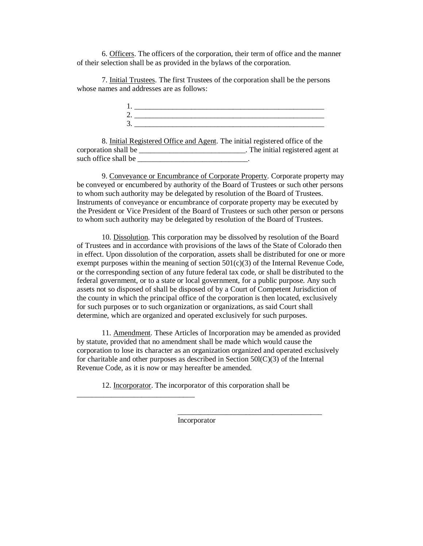6. Officers. The officers of the corporation, their term of office and the manner of their selection shall be as provided in the bylaws of the corporation.

 7. Initial Trustees. The first Trustees of the corporation shall be the persons whose names and addresses are as follows:

 8. Initial Registered Office and Agent. The initial registered office of the corporation shall be \_\_\_\_\_\_\_\_\_\_\_\_\_\_\_\_\_\_\_\_\_\_\_\_\_\_\_\_. The initial registered agent at such office shall be  $\blacksquare$ 

 9. Conveyance or Encumbrance of Corporate Property. Corporate property may be conveyed or encumbered by authority of the Board of Trustees or such other persons to whom such authority may be delegated by resolution of the Board of Trustees. Instruments of conveyance or encumbrance of corporate property may be executed by the President or Vice President of the Board of Trustees or such other person or persons to whom such authority may be delegated by resolution of the Board of Trustees.

 10. Dissolution. This corporation may be dissolved by resolution of the Board of Trustees and in accordance with provisions of the laws of the State of Colorado then in effect. Upon dissolution of the corporation, assets shall be distributed for one or more exempt purposes within the meaning of section  $501(c)(3)$  of the Internal Revenue Code, or the corresponding section of any future federal tax code, or shall be distributed to the federal government, or to a state or local government, for a public purpose. Any such assets not so disposed of shall be disposed of by a Court of Competent Jurisdiction of the county in which the principal office of the corporation is then located, exclusively for such purposes or to such organization or organizations, as said Court shall determine, which are organized and operated exclusively for such purposes.

 11. Amendment. These Articles of Incorporation may be amended as provided by statute, provided that no amendment shall be made which would cause the corporation to lose its character as an organization organized and operated exclusively for charitable and other purposes as described in Section  $50I(C)(3)$  of the Internal Revenue Code, as it is now or may hereafter be amended.

12. Incorporator. The incorporator of this corporation shall be

\_\_\_\_\_\_\_\_\_\_\_\_\_\_\_\_\_\_\_\_\_\_\_\_\_\_\_\_\_\_\_

 $\overline{\phantom{a}}$  ,  $\overline{\phantom{a}}$  ,  $\overline{\phantom{a}}$  ,  $\overline{\phantom{a}}$  ,  $\overline{\phantom{a}}$  ,  $\overline{\phantom{a}}$  ,  $\overline{\phantom{a}}$  ,  $\overline{\phantom{a}}$  ,  $\overline{\phantom{a}}$  ,  $\overline{\phantom{a}}$  ,  $\overline{\phantom{a}}$  ,  $\overline{\phantom{a}}$  ,  $\overline{\phantom{a}}$  ,  $\overline{\phantom{a}}$  ,  $\overline{\phantom{a}}$  ,  $\overline{\phantom{a}}$ Incorporator